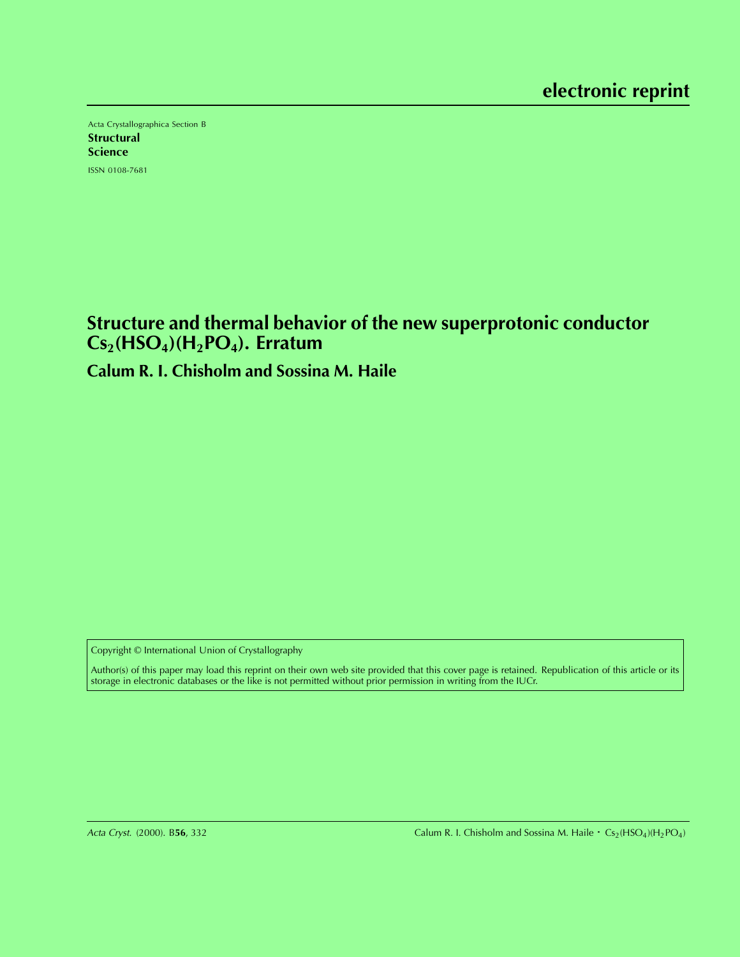Acta Crystallographica Section B **Structural** Science ISSN 0108-7681

## **Structure and thermal behavior of the new superprotonic conductor Cs2(HSO4)(H2PO4). Erratum**

## **Calum R. I. Chisholm and Sossina M. Haile**

Copyright © International Union of Crystallography

Author(s) of this paper may load this reprint on their own web site provided that this cover page is retained. Republication of this article or its storage in electronic databases or the like is not permitted without prior permission in writing from the IUCr.